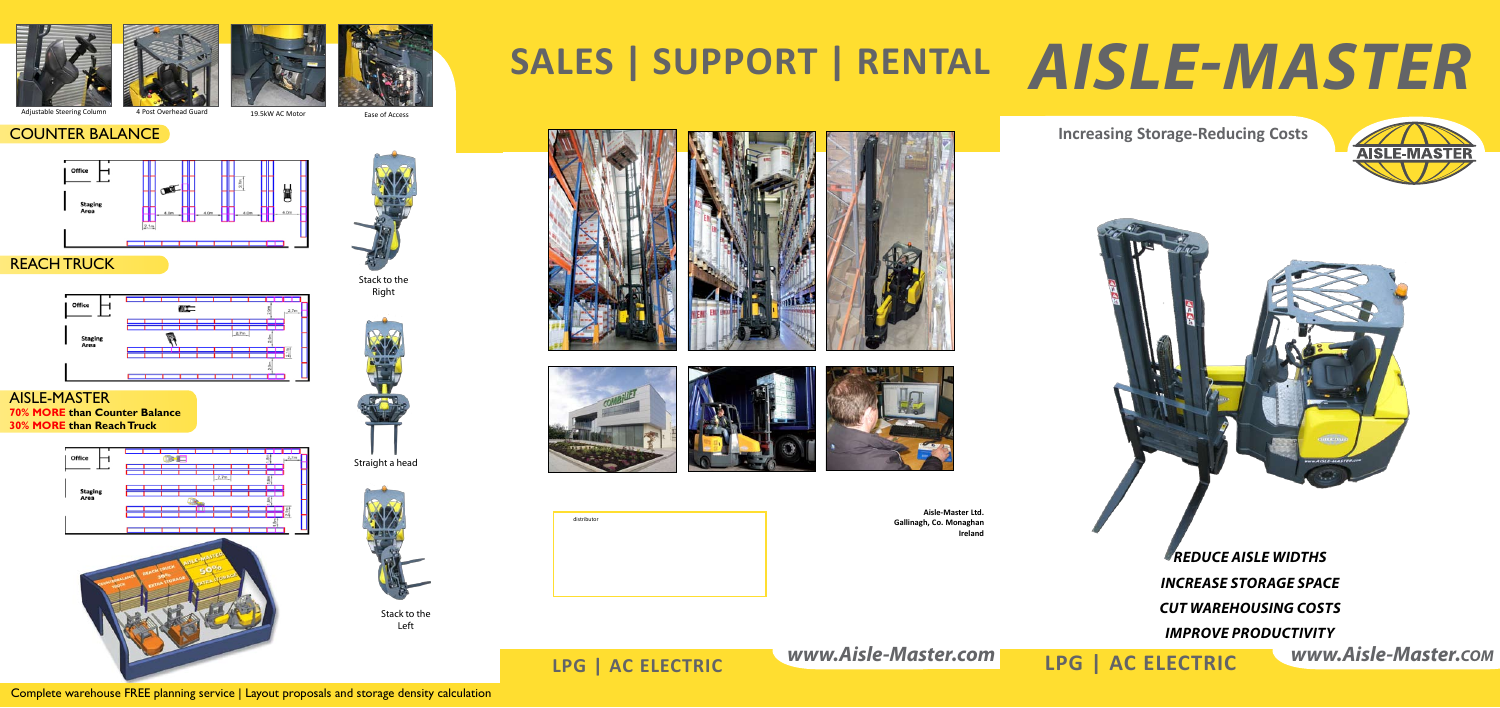







19.5kW AC Motor **Adjustable Steering Column 4 Post Overlead Ease of Access** 



# **Sales | Support | Rental** *AISLE-MASTER*









*www.Aisle-Master.com www.Aisle-Master.com* **LPG | AC ELECTRIC LPG | AC ELECTRIC**

Stack to the Right



**Aisle-Master Ltd.**

**Gallinagh, Co. Monaghan**

**Ireland**



*Improve Productivity*

Straight a head



Complete warehouse FREE planning service | Layout proposals and storage density calculation

# **Increasing Storage-Reducing Counter BALANCE**



# REACH TRUCK



## Aisle-MAster **70% MORE than Counter Balance 30% MORE than Reach Truck**







Stack to the Left